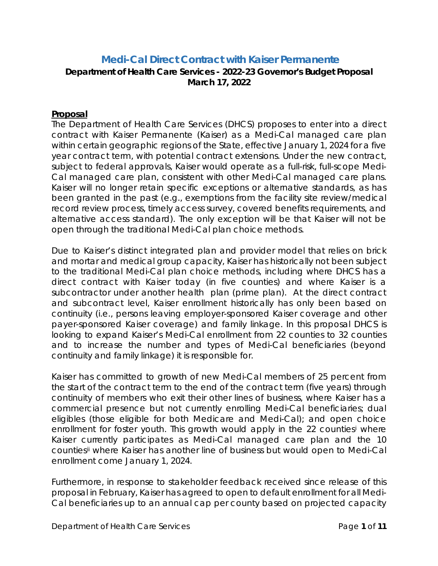# **Medi-Cal Direct Contract with Kaiser Permanente**

### **Department of Health Care Services - 2022-23 Governor's Budget Proposal March 17, 2022**

#### **Proposal**

The Department of Health Care Services (DHCS) proposes to enter into a direct contract with Kaiser Permanente (Kaiser) as a Medi-Cal managed care plan within certain geographic regions of the State, effective January 1, 2024 for a five year contract term, with potential contract extensions. Under the new contract, subject to federal approvals, Kaiser would operate as a full-risk, full-scope Medi-Cal managed care plan, consistent with other Medi-Cal managed care plans. Kaiser will no longer retain specific exceptions or alternative standards, as has been granted in the past (e.g., exemptions from the facility site review/medical record review process, timely access survey, covered benefits requirements, and alternative access standard). The only exception will be that Kaiser will not be open through the traditional Medi-Cal plan choice methods.

Due to Kaiser's distinct integrated plan and provider model that relies on brick and mortar and medical group capacity, Kaiser has historically not been subject to the traditional Medi-Cal plan choice methods, including where DHCS has a direct contract with Kaiser today (in five counties) and where Kaiser is a subcontractor under another health plan (prime plan). At the direct contract and subcontract level, Kaiser enrollment historically has only been based on continuity (i.e., persons leaving employer-sponsored Kaiser coverage and other payer-sponsored Kaiser coverage) and family linkage. In this proposal DHCS is looking to expand Kaiser's Medi-Cal enrollment from 22 counties to 32 counties and to increase the number and types of Medi-Cal beneficiaries (beyond continuity and family linkage) it is responsible for.

Kaiser has committed to growth of new Medi-Cal members of 25 percent from the start of the contract term to the end of the contract term (five years) through continuity of members who exit their other lines of business, where Kaiser has a commercial presence but not currently enrolling Medi-Cal beneficiaries; dual eligibles (those eligible for both Medicare and Medi-Cal); and open choice enrollment for foster youth. This growth would apply in the 22 counties[i](#page-10-0) where Kaiser currently participates as Medi-Cal managed care plan and the 10 counties[ii](#page-10-1) where Kaiser has another line of business but would open to Medi-Cal enrollment come January 1, 2024.

Furthermore, in response to stakeholder feedback received since release of this proposal in February, Kaiser has agreed to open to default enrollment for all Medi-Cal beneficiaries up to an annual cap per county based on projected capacity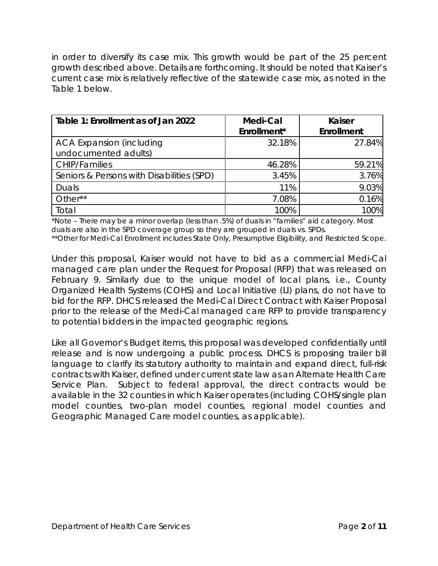in order to diversify its case mix. This growth would be part of the 25 percent growth described above. Details are forthcoming. It should be noted that Kaiser's current case mix is relatively reflective of the statewide case mix, as noted in the Table 1 below.

| Table 1: Enrollment as of Jan 2022                      | Medi-Cal<br>Enrollment* | <b>Kaiser</b><br><b>Enrollment</b> |
|---------------------------------------------------------|-------------------------|------------------------------------|
| <b>ACA Expansion (including</b><br>undocumented adults) | 32.18%                  | 27.84%                             |
| <b>CHIP/Families</b>                                    | 46.28%                  | 59.21%                             |
| Seniors & Persons with Disabilities (SPD)               | 3.45%                   | 3.76%                              |
| Duals                                                   | 11%                     | 9.03%                              |
| Other**                                                 | 7.08%                   | 0.16%                              |
| Total                                                   | 100%                    | 100%                               |

\*Note – There may be a minor overlap (less than .5%) of duals in "families" aid category. Most duals are also in the SPD coverage group so they are grouped in duals vs. SPDs.

\*\*Other for Medi-Cal Enrollment includes State Only, Presumptive Eligibility, and Restricted Scope.

Under this proposal, Kaiser would not have to bid as a commercial Medi-Cal managed care plan under the Request for Proposal (RFP) that was released on February 9. Similarly due to the unique model of local plans, i.e., County Organized Health Systems (COHS) and Local Initiative (LI) plans, do not have to bid for the RFP. DHCS released the Medi-Cal Direct Contract with Kaiser Proposal prior to the release of the Medi-Cal managed care RFP to provide transparency to potential bidders in the impacted geographic regions.

Like all Governor's Budget items, this proposal was developed confidentially until release and is now undergoing a public process. DHCS is proposing trailer bill language to clarify its statutory authority to maintain and expand direct, full-risk contracts with Kaiser, defined under current state law as an Alternate Health Care Service Plan. Subject to federal approval, the direct contracts would be available in the 32 counties in which Kaiser operates (including COHS/single plan model counties, two-plan model counties, regional model counties and Geographic Managed Care model counties, as applicable).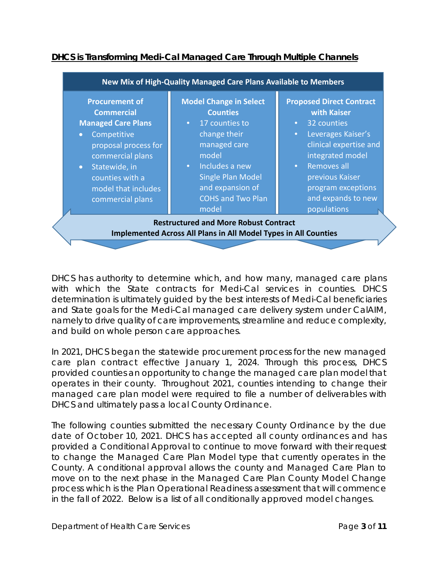

# **DHCS is Transforming Medi-Cal Managed Care Through Multiple Channels**

DHCS has authority to determine which, and how many, managed care plans with which the State contracts for Medi-Cal services in counties. DHCS determination is ultimately guided by the best interests of Medi-Cal beneficiaries and State goals for the Medi-Cal managed care delivery system under CalAIM, namely to drive quality of care improvements, streamline and reduce complexity, and build on whole person care approaches.

In 2021, DHCS began the statewide procurement process for the new managed care plan contract effective January 1, 2024. Through this process, DHCS provided counties an opportunity to change the managed care plan model that operates in their county. Throughout 2021, counties intending to change their managed care plan model were required to file a number of deliverables with DHCS and ultimately pass a local County Ordinance.

The following counties submitted the necessary County Ordinance by the due date of October 10, 2021. DHCS has accepted all county ordinances and has provided a Conditional Approval to continue to move forward with their request to change the Managed Care Plan Model type that currently operates in the County. A conditional approval allows the county and Managed Care Plan to move on to the next phase in the Managed Care Plan County Model Change process which is the Plan Operational Readiness assessment that will commence in the fall of 2022. Below is a list of all conditionally approved model changes.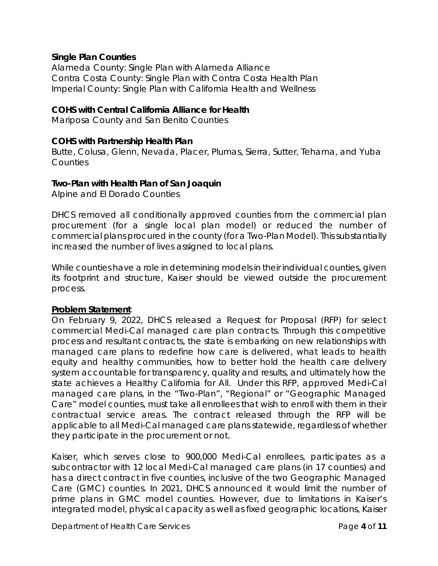#### **Single Plan Counties**

Alameda County: Single Plan with Alameda Alliance Contra Costa County: Single Plan with Contra Costa Health Plan Imperial County: Single Plan with California Health and Wellness

### **COHS with Central California Alliance for Health**

Mariposa County and San Benito Counties

#### **COHS with Partnership Health Plan**

Butte, Colusa, Glenn, Nevada, Placer, Plumas, Sierra, Sutter, Tehama, and Yuba **Counties** 

### **Two-Plan with Health Plan of San Joaquin**

Alpine and El Dorado Counties

DHCS removed all conditionally approved counties from the commercial plan procurement (for a single local plan model) or reduced the number of commercial plans procured in the county (for a Two-Plan Model). This substantially increased the number of lives assigned to local plans.

While counties have a role in determining models in their individual counties, given its footprint and structure, Kaiser should be viewed outside the procurement process.

## **Problem Statement**

On February 9, 2022, DHCS released a Request for Proposal (RFP) for select commercial Medi-Cal managed care plan contracts. Through this competitive process and resultant contracts, the state is embarking on new relationships with managed care plans to redefine how care is delivered, what leads to health equity and healthy communities, how to better hold the health care delivery system accountable for transparency, quality and results, and ultimately how the state achieves a Healthy California for All. Under this RFP, approved Medi-Cal managed care plans, in the "Two-Plan", "Regional" or "Geographic Managed Care" model counties, must take all enrollees that wish to enroll with them in their contractual service areas. The contract released through the RFP will be applicable to all Medi-Cal managed care plans statewide, regardless of whether they participate in the procurement or not.

Kaiser, which serves close to 900,000 Medi-Cal enrollees, participates as a subcontractor with 12 local Medi-Cal managed care plans (in 17 counties) and has a direct contract in five counties, inclusive of the two Geographic Managed Care (GMC) counties. In 2021, DHCS announced it would limit the number of prime plans in GMC model counties. However, due to limitations in Kaiser's integrated model, physical capacity as well as fixed geographic locations, Kaiser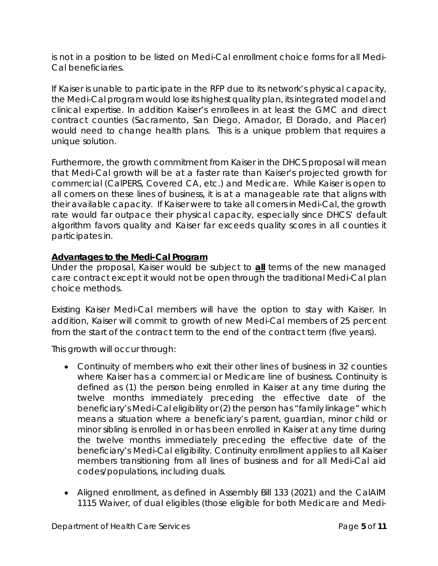is not in a position to be listed on Medi-Cal enrollment choice forms for all Medi-Cal beneficiaries.

If Kaiser is unable to participate in the RFP due to its network's physical capacity, the Medi-Cal program would lose its highest quality plan, its integrated model and clinical expertise. In addition Kaiser's enrollees in at least the GMC and direct contract counties (Sacramento, San Diego, Amador, El Dorado, and Placer) would need to change health plans. This is a unique problem that requires a unique solution.

Furthermore, the growth commitment from Kaiser in the DHCS proposal will mean that Medi-Cal growth will be at a faster rate than Kaiser's projected growth for commercial (CalPERS, Covered CA, etc.) and Medicare. While Kaiser is open to all comers on these lines of business, it is at a manageable rate that aligns with their available capacity. If Kaiser were to take all comers in Medi-Cal, the growth rate would far outpace their physical capacity, especially since DHCS' default algorithm favors quality and Kaiser far exceeds quality scores in all counties it participates in.

# **Advantages to the Medi-Cal Program**

Under the proposal, Kaiser would be subject to *all* terms of the new managed care contract except it would not be open through the traditional Medi-Cal plan choice methods.

Existing Kaiser Medi-Cal members will have the option to stay with Kaiser. In addition, Kaiser will commit to growth of new Medi-Cal members of 25 percent from the start of the contract term to the end of the contract term (five years).

This growth will occur through:

- Continuity of members who exit their other lines of business in 32 counties where Kaiser has a commercial or Medicare line of business. Continuity is defined as (1) the person being enrolled in Kaiser at any time during the twelve months immediately preceding the effective date of the beneficiary's Medi-Cal eligibility or (2) the person has "family linkage" which means a situation where a beneficiary's parent, guardian, minor child or minor sibling is enrolled in or has been enrolled in Kaiser at any time during the twelve months immediately preceding the effective date of the beneficiary's Medi-Cal eligibility. Continuity enrollment applies to all Kaiser members transitioning from all lines of business and for all Medi-Cal aid codes/populations, including duals.
- Aligned enrollment, as defined in Assembly Bill 133 (2021) and the CalAIM 1115 Waiver, of dual eligibles (those eligible for both Medicare and Medi-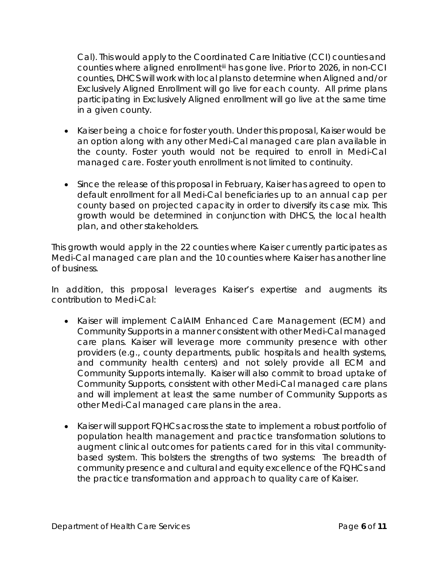Cal). This would apply to the Coordinated Care Initiative (CCI) counties and counties where aligned enrollment[iii](#page-10-2) has gone live. Prior to 2026, in non-CCI counties, DHCS will work with local plans to determine when Aligned and/or Exclusively Aligned Enrollment will go live for each county. All prime plans participating in Exclusively Aligned enrollment will go live at the same time in a given county.

- Kaiser being a choice for foster youth. Under this proposal, Kaiser would be an option along with any other Medi-Cal managed care plan available in the county. Foster youth would not be required to enroll in Medi-Cal managed care. Foster youth enrollment is not limited to continuity.
- Since the release of this proposal in February, Kaiser has agreed to open to default enrollment for all Medi-Cal beneficiaries up to an annual cap per county based on projected capacity in order to diversify its case mix. This growth would be determined in conjunction with DHCS, the local health plan, and other stakeholders.

This growth would apply in the 22 counties where Kaiser currently participates as Medi-Cal managed care plan and the 10 counties where Kaiser has another line of business.

In addition, this proposal leverages Kaiser's expertise and augments its contribution to Medi-Cal:

- Kaiser will implement CalAIM Enhanced Care Management (ECM) and Community Supports in a manner consistent with other Medi-Cal managed care plans. Kaiser will leverage more community presence with other providers (e.g., county departments, public hospitals and health systems, and community health centers) and not solely provide all ECM and Community Supports internally. Kaiser will also commit to broad uptake of Community Supports, consistent with other Medi-Cal managed care plans and will implement at least the same number of Community Supports as other Medi-Cal managed care plans in the area.
- Kaiser will support FQHCs across the state to implement a robust portfolio of population health management and practice transformation solutions to augment clinical outcomes for patients cared for in this vital communitybased system. This bolsters the strengths of two systems: The breadth of community presence and cultural and equity excellence of the FQHCs and the practice transformation and approach to quality care of Kaiser.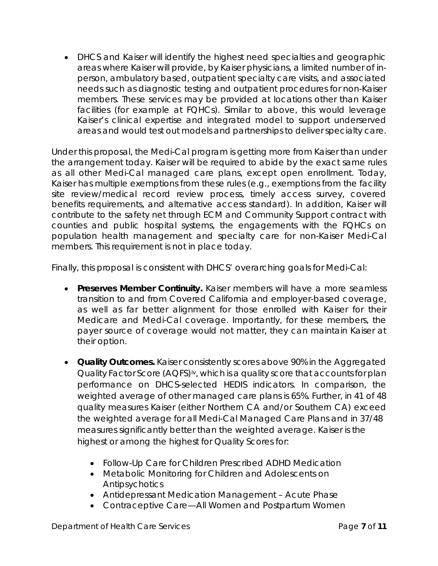• DHCS and Kaiser will identify the highest need specialties and geographic areas where Kaiser will provide, by Kaiser physicians, a limited number of inperson, ambulatory based, outpatient specialty care visits, and associated needs such as diagnostic testing and outpatient procedures for non-Kaiser members. These services may be provided at locations other than Kaiser facilities (for example at FQHCs). Similar to above, this would leverage Kaiser's clinical expertise and integrated model to support underserved areas and would test out models and partnerships to deliver specialty care.

Under this proposal, the Medi-Cal program is getting more from Kaiser than under the arrangement today. Kaiser will be required to abide by the exact same rules as all other Medi-Cal managed care plans, except open enrollment. Today, Kaiser has multiple exemptions from these rules (e.g., exemptions from the facility site review/medical record review process, timely access survey, covered benefits requirements, and alternative access standard). In addition, Kaiser will contribute to the safety net through ECM and Community Support contract with counties and public hospital systems, the engagements with the FQHCs on population health management and specialty care for non-Kaiser Medi-Cal members. This requirement is not in place today.

Finally, this proposal is consistent with DHCS' overarching goals for Medi-Cal:

- **Preserves Member Continuity.** Kaiser members will have a more seamless transition to and from Covered California and employer-based coverage, as well as far better alignment for those enrolled with Kaiser for their Medicare and Medi-Cal coverage. Importantly, for these members, the payer source of coverage would not matter, they can maintain Kaiser at their option.
- **Quality Outcomes.** Kaiser consistently scores above 90% in the Aggregated Quality Factor Score (AQFS)<sup>iv</sup>, which is a quality score that accounts for plan performance on DHCS-selected HEDIS indicators. In comparison, the weighted average of other managed care plans is 65%. Further, in 41 of 48 quality measures Kaiser (either Northern CA and/or Southern CA) exceed the weighted average for all Medi-Cal Managed Care Plans and in 37/48 measures significantly better than the weighted average. Kaiser is the highest or among the highest for Quality Scores for:
	- Follow-Up Care for Children Prescribed ADHD Medication
	- Metabolic Monitoring for Children and Adolescents on Antipsychotics
	- Antidepressant Medication Management Acute Phase
	- Contraceptive Care—All Women and Postpartum Women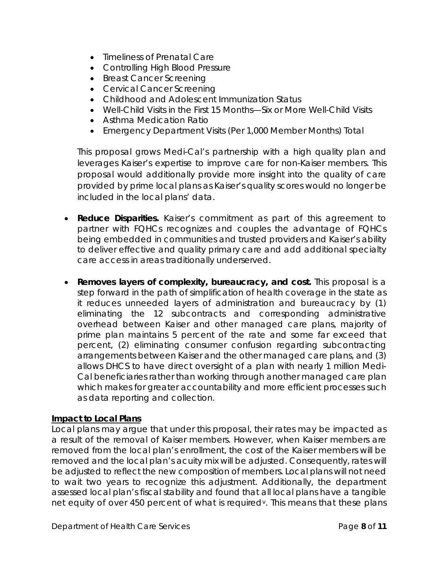- Timeliness of Prenatal Care
- Controlling High Blood Pressure
- Breast Cancer Screening
- Cervical Cancer Screening
- Childhood and Adolescent Immunization Status
- Well-Child Visits in the First 15 Months—Six or More Well-Child Visits
- Asthma Medication Ratio
- Emergency Department Visits (Per 1,000 Member Months) Total

This proposal grows Medi-Cal's partnership with a high quality plan and leverages Kaiser's expertise to improve care for non-Kaiser members. This proposal would additionally provide more insight into the quality of care provided by prime local plans as Kaiser's quality scores would no longer be included in the local plans' data.

- **Reduce Disparities.** Kaiser's commitment as part of this agreement to partner with FQHCs recognizes and couples the advantage of FQHCs being embedded in communities and trusted providers and Kaiser's ability to deliver effective and quality primary care and add additional specialty care access in areas traditionally underserved.
- **Removes layers of complexity, bureaucracy, and cost.** This proposal is a step forward in the path of simplification of health coverage in the state as it reduces unneeded layers of administration and bureaucracy by (1) eliminating the 12 subcontracts and corresponding administrative overhead between Kaiser and other managed care plans, majority of prime plan maintains 5 percent of the rate and some far exceed that percent, (2) eliminating consumer confusion regarding subcontracting arrangements between Kaiser and the other managed care plans, and (3) allows DHCS to have direct oversight of a plan with nearly 1 million Medi-Cal beneficiaries rather than working through another managed care plan which makes for greater accountability and more efficient processes such as data reporting and collection.

## **Impact to Local Plans**

Local plans may argue that under this proposal, their rates may be impacted as a result of the removal of Kaiser members. However, when Kaiser members are removed from the local plan's enrollment, the cost of the Kaiser members will be removed and the local plan's acuity mix will be adjusted. Consequently, rates will be adjusted to reflect the new composition of members. Local plans will not need to wait two years to recognize this adjustment. Additionally, the department assessed local plan's fiscal stability and found that all local plans have a tangible net equity of o[v](#page-10-4)er 450 percent of what is required<sup>y</sup>. This means that these plans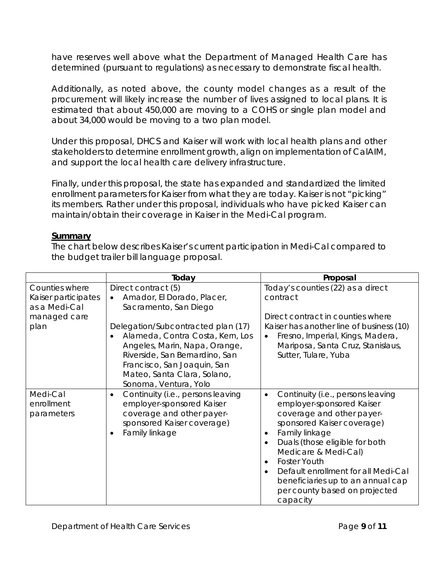have reserves well above what the Department of Managed Health Care has determined (pursuant to regulations) as necessary to demonstrate fiscal health.

Additionally, as noted above, the county model changes as a result of the procurement will likely increase the number of lives assigned to local plans. It is estimated that about 450,000 are moving to a COHS or single plan model and about 34,000 would be moving to a two plan model.

Under this proposal, DHCS and Kaiser will work with local health plans and other stakeholders to determine enrollment growth, align on implementation of CalAIM, and support the local health care delivery infrastructure.

Finally, under this proposal, the state has expanded and standardized the limited enrollment parameters for Kaiser from what they are today. Kaiser is not "picking" its members. Rather under this proposal, individuals who have picked Kaiser can maintain/obtain their coverage in Kaiser in the Medi-Cal program.

#### **Summary**

The chart below describes Kaiser's current participation in Medi-Cal compared to the budget trailer bill language proposal.

|                                                                                | Today                                                                                                                                                                                                                                                                                                                                    | Proposal                                                                                                                                                                                                                                                                                                                                                                                                               |
|--------------------------------------------------------------------------------|------------------------------------------------------------------------------------------------------------------------------------------------------------------------------------------------------------------------------------------------------------------------------------------------------------------------------------------|------------------------------------------------------------------------------------------------------------------------------------------------------------------------------------------------------------------------------------------------------------------------------------------------------------------------------------------------------------------------------------------------------------------------|
| Counties where<br>Kaiser participates<br>as a Medi-Cal<br>managed care<br>plan | Direct contract (5)<br>Amador, El Dorado, Placer,<br>$\bullet$<br>Sacramento, San Diego<br>Delegation/Subcontracted plan (17)<br>Alameda, Contra Costa, Kern, Los<br>$\bullet$<br>Angeles, Marin, Napa, Orange,<br>Riverside, San Bernardino, San<br>Francisco, San Joaquin, San<br>Mateo, Santa Clara, Solano,<br>Sonoma, Ventura, Yolo | Today's counties (22) as a direct<br>contract<br>Direct contract in counties where<br>Kaiser has another line of business (10)<br>Fresno, Imperial, Kings, Madera,<br>$\bullet$<br>Mariposa, Santa Cruz, Stanislaus,<br>Sutter, Tulare, Yuba                                                                                                                                                                           |
| Medi-Cal<br>enrollment<br>parameters                                           | Continuity (i.e., persons leaving<br>$\bullet$<br>employer-sponsored Kaiser<br>coverage and other payer-<br>sponsored Kaiser coverage)<br>Family linkage<br>$\bullet$                                                                                                                                                                    | Continuity (i.e., persons leaving<br>$\bullet$<br>employer-sponsored Kaiser<br>coverage and other payer-<br>sponsored Kaiser coverage)<br>Family linkage<br>$\bullet$<br>Duals (those eligible for both<br>$\bullet$<br>Medicare & Medi-Cal)<br><b>Foster Youth</b><br>$\bullet$<br>Default enrollment for all Medi-Cal<br>$\bullet$<br>beneficiaries up to an annual cap<br>per county based on projected<br>capacity |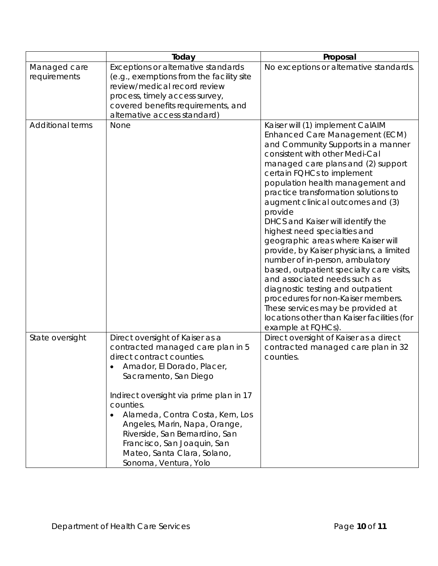|                         | Today                                                                                                                                                                                                                                                                                                                                                                                                                       | Proposal                                                                                                                                                                                                                                                                                                                                                                                                                                                                                                                                                                                                                                                                                                                                                                                              |
|-------------------------|-----------------------------------------------------------------------------------------------------------------------------------------------------------------------------------------------------------------------------------------------------------------------------------------------------------------------------------------------------------------------------------------------------------------------------|-------------------------------------------------------------------------------------------------------------------------------------------------------------------------------------------------------------------------------------------------------------------------------------------------------------------------------------------------------------------------------------------------------------------------------------------------------------------------------------------------------------------------------------------------------------------------------------------------------------------------------------------------------------------------------------------------------------------------------------------------------------------------------------------------------|
| Managed care            | Exceptions or alternative standards                                                                                                                                                                                                                                                                                                                                                                                         | No exceptions or alternative standards.                                                                                                                                                                                                                                                                                                                                                                                                                                                                                                                                                                                                                                                                                                                                                               |
| requirements            | (e.g., exemptions from the facility site                                                                                                                                                                                                                                                                                                                                                                                    |                                                                                                                                                                                                                                                                                                                                                                                                                                                                                                                                                                                                                                                                                                                                                                                                       |
|                         | review/medical record review                                                                                                                                                                                                                                                                                                                                                                                                |                                                                                                                                                                                                                                                                                                                                                                                                                                                                                                                                                                                                                                                                                                                                                                                                       |
|                         | process, timely access survey,<br>covered benefits requirements, and                                                                                                                                                                                                                                                                                                                                                        |                                                                                                                                                                                                                                                                                                                                                                                                                                                                                                                                                                                                                                                                                                                                                                                                       |
|                         | alternative access standard)                                                                                                                                                                                                                                                                                                                                                                                                |                                                                                                                                                                                                                                                                                                                                                                                                                                                                                                                                                                                                                                                                                                                                                                                                       |
| <b>Additional terms</b> | None                                                                                                                                                                                                                                                                                                                                                                                                                        | Kaiser will (1) implement CalAIM<br>Enhanced Care Management (ECM)<br>and Community Supports in a manner<br>consistent with other Medi-Cal<br>managed care plans and (2) support<br>certain FQHCs to implement<br>population health management and<br>practice transformation solutions to<br>augment clinical outcomes and (3)<br>provide<br>DHCS and Kaiser will identify the<br>highest need specialties and<br>geographic areas where Kaiser will<br>provide, by Kaiser physicians, a limited<br>number of in-person, ambulatory<br>based, outpatient specialty care visits,<br>and associated needs such as<br>diagnostic testing and outpatient<br>procedures for non-Kaiser members.<br>These services may be provided at<br>locations other than Kaiser facilities (for<br>example at FQHCs). |
| State oversight         | Direct oversight of Kaiser as a<br>contracted managed care plan in 5<br>direct contract counties.<br>Amador, El Dorado, Placer,<br>Sacramento, San Diego<br>Indirect oversight via prime plan in 17<br>counties.<br>Alameda, Contra Costa, Kern, Los<br>$\bullet$<br>Angeles, Marin, Napa, Orange,<br>Riverside, San Bernardino, San<br>Francisco, San Joaquin, San<br>Mateo, Santa Clara, Solano,<br>Sonoma, Ventura, Yolo | Direct oversight of Kaiser as a direct<br>contracted managed care plan in 32<br>counties.                                                                                                                                                                                                                                                                                                                                                                                                                                                                                                                                                                                                                                                                                                             |